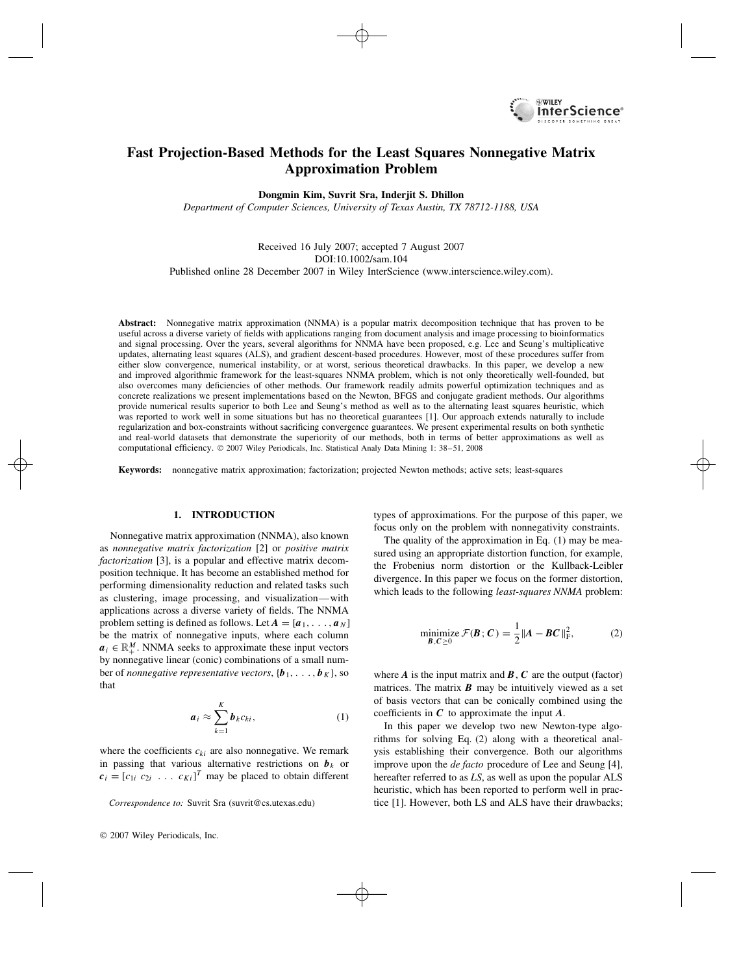

# **Fast Projection-Based Methods for the Least Squares Nonnegative Matrix Approximation Problem**

**Dongmin Kim, Suvrit Sra, Inderjit S. Dhillon**

*Department of Computer Sciences, University of Texas Austin, TX 78712-1188, USA*

### Received 16 July 2007; accepted 7 August 2007 DOI:10.1002/sam.104 Published online 28 December 2007 in Wiley InterScience (www.interscience.wiley.com).

**Abstract:** Nonnegative matrix approximation (NNMA) is a popular matrix decomposition technique that has proven to be useful across a diverse variety of fields with applications ranging from document analysis and image processing to bioinformatics and signal processing. Over the years, several algorithms for NNMA have been proposed, e.g. Lee and Seung's multiplicative updates, alternating least squares (ALS), and gradient descent-based procedures. However, most of these procedures suffer from either slow convergence, numerical instability, or at worst, serious theoretical drawbacks. In this paper, we develop a new and improved algorithmic framework for the least-squares NNMA problem, which is not only theoretically well-founded, but also overcomes many deficiencies of other methods. Our framework readily admits powerful optimization techniques and as concrete realizations we present implementations based on the Newton, BFGS and conjugate gradient methods. Our algorithms provide numerical results superior to both Lee and Seung's method as well as to the alternating least squares heuristic, which was reported to work well in some situations but has no theoretical guarantees [1]. Our approach extends naturally to include regularization and box-constraints without sacrificing convergence guarantees. We present experimental results on both synthetic and real-world datasets that demonstrate the superiority of our methods, both in terms of better approximations as well as computational efficiency.  $\odot$  2007 Wiley Periodicals, Inc. Statistical Analy Data Mining 1: 38–51, 2008

**Keywords:** nonnegative matrix approximation; factorization; projected Newton methods; active sets; least-squares

### **1. INTRODUCTION**

Nonnegative matrix approximation (NNMA), also known as *nonnegative matrix factorization* [2] or *positive matrix factorization* [3], is a popular and effective matrix decomposition technique. It has become an established method for performing dimensionality reduction and related tasks such as clustering, image processing, and visualization—with applications across a diverse variety of fields. The NNMA problem setting is defined as follows. Let  $A = [a_1, \ldots, a_N]$ be the matrix of nonnegative inputs, where each column  $a_i \in \mathbb{R}^M_+$ . NNMA seeks to approximate these input vectors by nonnegative linear (conic) combinations of a small number of *nonnegative representative vectors*,  $\{b_1, \ldots, b_K\}$ , so that

$$
a_i \approx \sum_{k=1}^K b_k c_{ki}, \qquad (1)
$$

where the coefficients  $c_{ki}$  are also nonnegative. We remark in passing that various alternative restrictions on  $b_k$  or  $c_i = [c_{1i} \ c_{2i} \ \ldots \ c_{Ki}]^T$  may be placed to obtain different

types of approximations. For the purpose of this paper, we focus only on the problem with nonnegativity constraints.

The quality of the approximation in Eq. (1) may be measured using an appropriate distortion function, for example, the Frobenius norm distortion or the Kullback-Leibler divergence. In this paper we focus on the former distortion, which leads to the following *least-squares NNMA* problem:

$$
\underset{\mathbf{B}, \mathbf{C} \ge 0}{\text{minimize}} \mathcal{F}(\mathbf{B}; \mathbf{C}) = \frac{1}{2} \| \mathbf{A} - \mathbf{B} \mathbf{C} \|_{\text{F}}^2,\tag{2}
$$

where  $\vec{A}$  is the input matrix and  $\vec{B}$ ,  $\vec{C}$  are the output (factor) matrices. The matrix  $\boldsymbol{B}$  may be intuitively viewed as a set of basis vectors that can be conically combined using the coefficients in *C* to approximate the input *A*.

In this paper we develop two new Newton-type algorithms for solving Eq. (2) along with a theoretical analysis establishing their convergence. Both our algorithms improve upon the *de facto* procedure of Lee and Seung [4], hereafter referred to as *LS*, as well as upon the popular ALS heuristic, which has been reported to perform well in practice [1]. However, both LS and ALS have their drawbacks;

*Correspondence to:* Suvrit Sra (suvrit@cs.utexas.edu)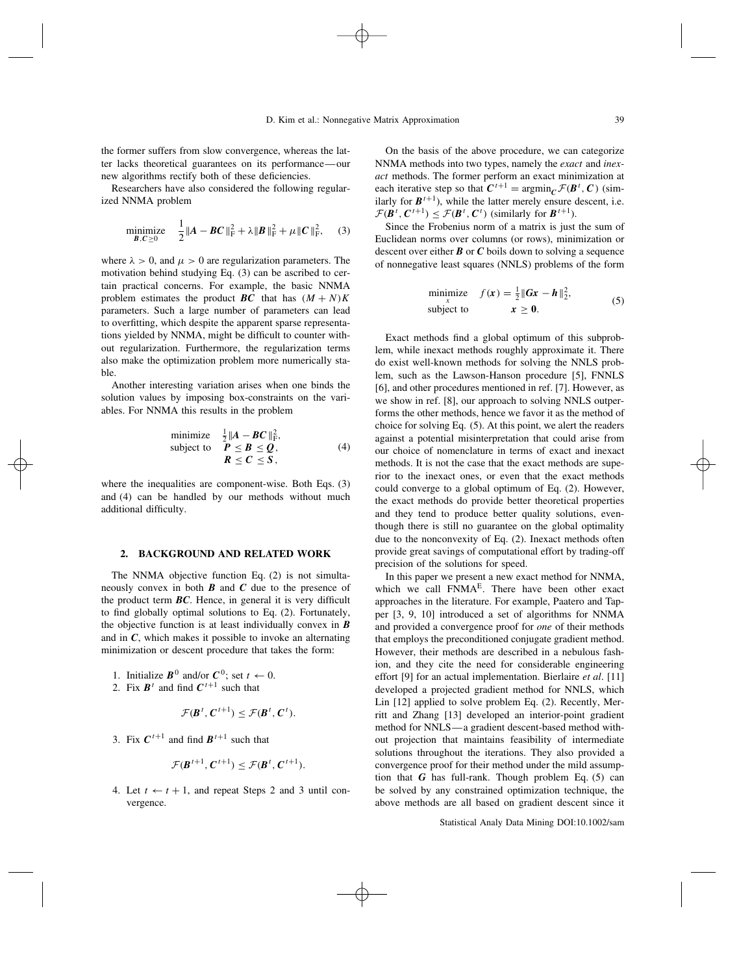the former suffers from slow convergence, whereas the latter lacks theoretical guarantees on its performance—our new algorithms rectify both of these deficiencies.

Researchers have also considered the following regularized NNMA problem

minimize 
$$
\frac{1}{2} ||A - BC||_F^2 + \lambda ||B||_F^2 + \mu ||C||_F^2
$$
, (3)

where  $\lambda > 0$ , and  $\mu > 0$  are regularization parameters. The motivation behind studying Eq. (3) can be ascribed to certain practical concerns. For example, the basic NNMA problem estimates the product *BC* that has  $(M + N)K$ parameters. Such a large number of parameters can lead to overfitting, which despite the apparent sparse representations yielded by NNMA, might be difficult to counter without regularization. Furthermore, the regularization terms also make the optimization problem more numerically stable.

Another interesting variation arises when one binds the solution values by imposing box-constraints on the variables. For NNMA this results in the problem

minimize 
$$
\frac{1}{2} ||A - BC||_F^2
$$
,  
subject to  $P \leq B \leq Q$ ,  
 $R \leq C \leq S$ , (4)

where the inequalities are component-wise. Both Eqs. (3) and (4) can be handled by our methods without much additional difficulty.

### **2. BACKGROUND AND RELATED WORK**

The NNMA objective function Eq. (2) is not simultaneously convex in both *B* and *C* due to the presence of the product term *BC*. Hence, in general it is very difficult to find globally optimal solutions to Eq. (2). Fortunately, the objective function is at least individually convex in *B* and in *C*, which makes it possible to invoke an alternating minimization or descent procedure that takes the form:

- 1. Initialize  $\mathbf{B}^0$  and/or  $\mathbf{C}^0$ ; set  $t \leftarrow 0$ .
- 2. Fix  $B^t$  and find  $C^{t+1}$  such that

$$
\mathcal{F}(\boldsymbol{B}^t, \boldsymbol{C}^{t+1}) \leq \mathcal{F}(\boldsymbol{B}^t, \boldsymbol{C}^t).
$$

3. Fix  $C^{t+1}$  and find  $B^{t+1}$  such that

$$
\mathcal{F}(\boldsymbol{B}^{t+1},\boldsymbol{C}^{t+1})\leq \mathcal{F}(\boldsymbol{B}^{t},\boldsymbol{C}^{t+1}).
$$

4. Let  $t \leftarrow t + 1$ , and repeat Steps 2 and 3 until convergence.

On the basis of the above procedure, we can categorize NNMA methods into two types, namely the *exact* and *inexact* methods. The former perform an exact minimization at each iterative step so that  $C^{t+1} = \arg\min_{C} \mathcal{F}(B^t, C)$  (similarly for  $B^{t+1}$ ), while the latter merely ensure descent, i.e.  $\mathcal{F}(\mathbf{B}^t, \mathbf{C}^{t+1}) \leq \mathcal{F}(\mathbf{B}^t, \mathbf{C}^t)$  (similarly for  $\mathbf{B}^{t+1}$ ).

Since the Frobenius norm of a matrix is just the sum of Euclidean norms over columns (or rows), minimization or descent over either *B* or *C* boils down to solving a sequence of nonnegative least squares (NNLS) problems of the form

$$
\begin{array}{ll}\text{minimize} & f(\mathbf{x}) = \frac{1}{2} \|G\mathbf{x} - \mathbf{h}\|_2^2, \\ \text{subject to} & \mathbf{x} \ge \mathbf{0}. \end{array} \tag{5}
$$

Exact methods find a global optimum of this subproblem, while inexact methods roughly approximate it. There do exist well-known methods for solving the NNLS problem, such as the Lawson-Hanson procedure [5], FNNLS [6], and other procedures mentioned in ref. [7]. However, as we show in ref. [8], our approach to solving NNLS outperforms the other methods, hence we favor it as the method of choice for solving Eq. (5). At this point, we alert the readers against a potential misinterpretation that could arise from our choice of nomenclature in terms of exact and inexact methods. It is not the case that the exact methods are superior to the inexact ones, or even that the exact methods could converge to a global optimum of Eq. (2). However, the exact methods do provide better theoretical properties and they tend to produce better quality solutions, eventhough there is still no guarantee on the global optimality due to the nonconvexity of Eq. (2). Inexact methods often provide great savings of computational effort by trading-off precision of the solutions for speed.

In this paper we present a new exact method for NNMA, which we call FNMA<sup>E</sup>. There have been other exact approaches in the literature. For example, Paatero and Tapper [3, 9, 10] introduced a set of algorithms for NNMA and provided a convergence proof for *one* of their methods that employs the preconditioned conjugate gradient method. However, their methods are described in a nebulous fashion, and they cite the need for considerable engineering effort [9] for an actual implementation. Bierlaire *et al*. [11] developed a projected gradient method for NNLS, which Lin [12] applied to solve problem Eq. (2). Recently, Merritt and Zhang [13] developed an interior-point gradient method for NNLS—a gradient descent-based method without projection that maintains feasibility of intermediate solutions throughout the iterations. They also provided a convergence proof for their method under the mild assumption that *G* has full-rank. Though problem Eq. (5) can be solved by any constrained optimization technique, the above methods are all based on gradient descent since it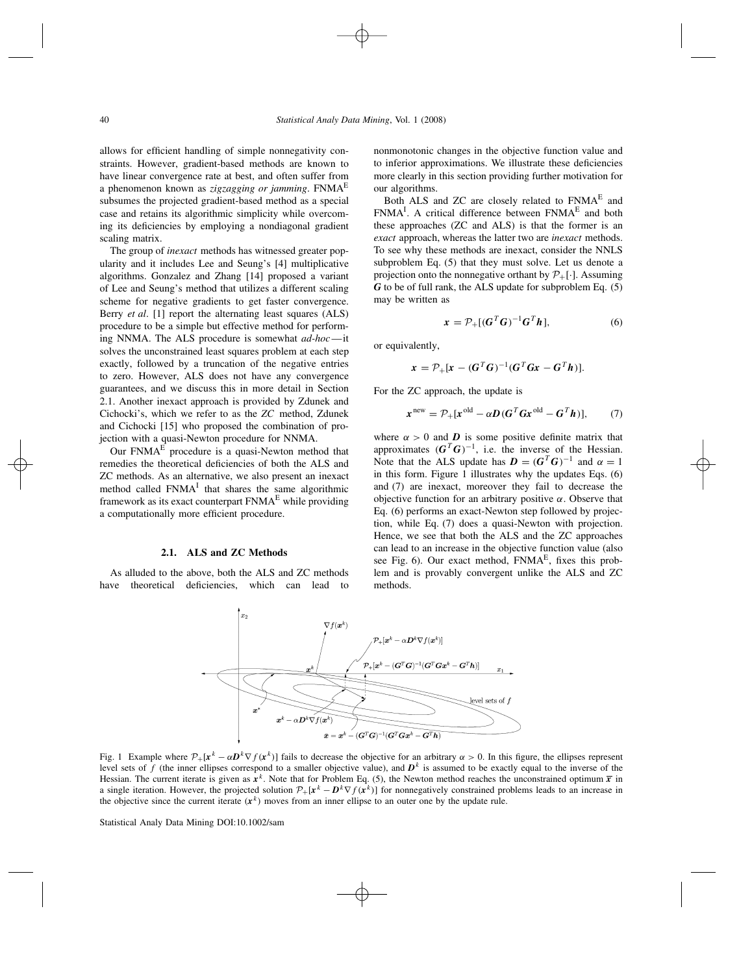allows for efficient handling of simple nonnegativity constraints. However, gradient-based methods are known to have linear convergence rate at best, and often suffer from a phenomenon known as *zigzagging or jamming*. FNMAE subsumes the projected gradient-based method as a special case and retains its algorithmic simplicity while overcoming its deficiencies by employing a nondiagonal gradient scaling matrix.

The group of *inexact* methods has witnessed greater popularity and it includes Lee and Seung's [4] multiplicative algorithms. Gonzalez and Zhang [14] proposed a variant of Lee and Seung's method that utilizes a different scaling scheme for negative gradients to get faster convergence. Berry *et al*. [1] report the alternating least squares (ALS) procedure to be a simple but effective method for performing NNMA. The ALS procedure is somewhat *ad-hoc*—it solves the unconstrained least squares problem at each step exactly, followed by a truncation of the negative entries to zero. However, ALS does not have any convergence guarantees, and we discuss this in more detail in Section 2.1. Another inexact approach is provided by Zdunek and Cichocki's, which we refer to as the *ZC* method, Zdunek and Cichocki [15] who proposed the combination of projection with a quasi-Newton procedure for NNMA.

Our  $FNMA<sup>E</sup>$  procedure is a quasi-Newton method that remedies the theoretical deficiencies of both the ALS and ZC methods. As an alternative, we also present an inexact method called  $FNMA<sup>I</sup>$  that shares the same algorithmic framework as its exact counterpart  $FNMA<sup>E</sup>$  while providing a computationally more efficient procedure.

#### **2.1. ALS and ZC Methods**

As alluded to the above, both the ALS and ZC methods have theoretical deficiencies, which can lead to nonmonotonic changes in the objective function value and to inferior approximations. We illustrate these deficiencies more clearly in this section providing further motivation for our algorithms.

Both ALS and ZC are closely related to FNMA<sup>E</sup> and  $FNMA<sup>I</sup>$ . A critical difference between  $FNMA<sup>E</sup>$  and both these approaches (ZC and ALS) is that the former is an *exact* approach, whereas the latter two are *inexact* methods. To see why these methods are inexact, consider the NNLS subproblem Eq. (5) that they must solve. Let us denote a projection onto the nonnegative orthant by  $\mathcal{P}_+[\cdot]$ . Assuming *G* to be of full rank, the ALS update for subproblem Eq. (5) may be written as

$$
\mathbf{x} = \mathcal{P}_+[(\mathbf{G}^T \mathbf{G})^{-1} \mathbf{G}^T \mathbf{h}], \tag{6}
$$

or equivalently,

$$
x = \mathcal{P}_+ [x - (G^T G)^{-1} (G^T G x - G^T h)].
$$

For the ZC approach, the update is

$$
\boldsymbol{x}^{\text{new}} = \mathcal{P}_+[\boldsymbol{x}^{\text{old}} - \alpha \boldsymbol{D}(\boldsymbol{G}^T \boldsymbol{G} \boldsymbol{x}^{\text{old}} - \boldsymbol{G}^T \boldsymbol{h})], \qquad (7)
$$

where  $\alpha > 0$  and *D* is some positive definite matrix that approximates  $(G<sup>T</sup>G)^{-1}$ , i.e. the inverse of the Hessian. Note that the ALS update has  $D = (G^T G)^{-1}$  and  $\alpha = 1$ in this form. Figure 1 illustrates why the updates Eqs. (6) and (7) are inexact, moreover they fail to decrease the objective function for an arbitrary positive *α*. Observe that Eq. (6) performs an exact-Newton step followed by projection, while Eq. (7) does a quasi-Newton with projection. Hence, we see that both the ALS and the ZC approaches can lead to an increase in the objective function value (also see Fig. 6). Our exact method,  $FNMA<sup>E</sup>$ , fixes this problem and is provably convergent unlike the ALS and ZC methods.



Fig. 1 Example where  $\mathcal{P}_+[\mathbf{x}^k - \alpha \mathbf{D}^k \nabla f(\mathbf{x}^k)]$  fails to decrease the objective for an arbitrary  $\alpha > 0$ . In this figure, the ellipses represent level sets of f (the inner ellipses correspond to a smaller objective value), and  $D<sup>k</sup>$  is assumed to be exactly equal to the inverse of the Hessian. The current iterate is given as  $x^k$ . Note that for Problem Eq. (5), the Newton method reaches the unconstrained optimum  $\bar{x}$  in a single iteration. However, the projected solution  $\mathcal{P}_+[\mathbf{x}^k - \mathbf{D}^k \nabla f(\mathbf{x}^k)]$  for nonnegatively constrained problems leads to an increase in the objective since the current iterate  $(x^k)$  moves from an inner ellipse to an outer one by the update rule.

Statistical Analy Data Mining DOI:10.1002/sam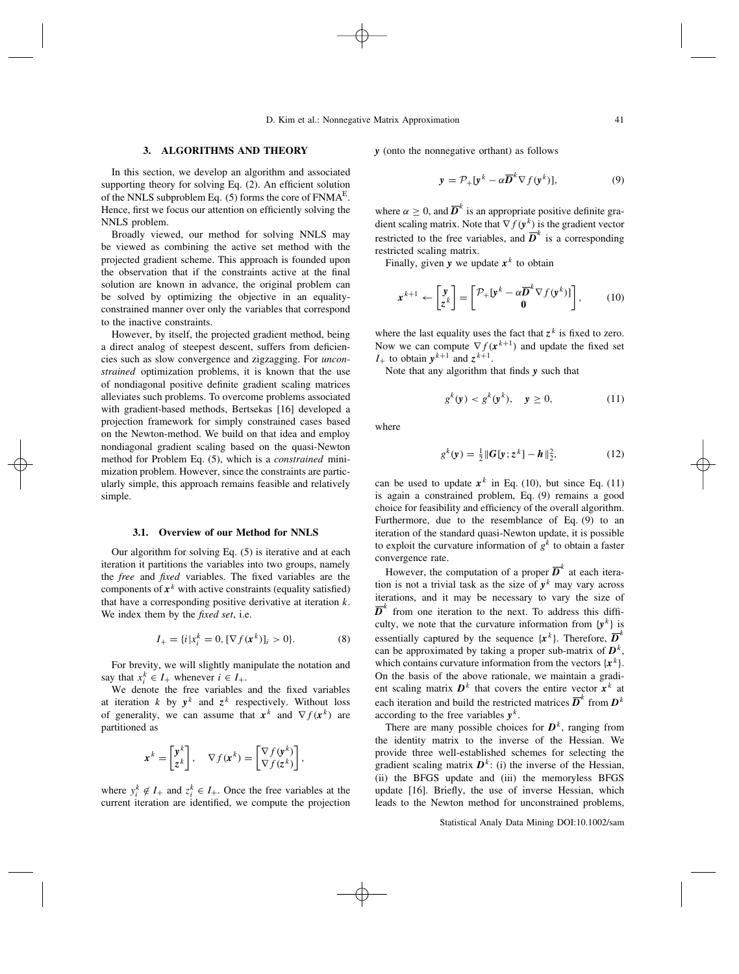### **3. ALGORITHMS AND THEORY**

In this section, we develop an algorithm and associated supporting theory for solving Eq. (2). An efficient solution of the NNLS subproblem Eq.  $(5)$  forms the core of FNMA<sup>E</sup>. Hence, first we focus our attention on efficiently solving the NNLS problem.

Broadly viewed, our method for solving NNLS may be viewed as combining the active set method with the projected gradient scheme. This approach is founded upon the observation that if the constraints active at the final solution are known in advance, the original problem can be solved by optimizing the objective in an equalityconstrained manner over only the variables that correspond to the inactive constraints.

However, by itself, the projected gradient method, being a direct analog of steepest descent, suffers from deficiencies such as slow convergence and zigzagging. For *unconstrained* optimization problems, it is known that the use of nondiagonal positive definite gradient scaling matrices alleviates such problems. To overcome problems associated with gradient-based methods, Bertsekas [16] developed a projection framework for simply constrained cases based on the Newton-method. We build on that idea and employ nondiagonal gradient scaling based on the quasi-Newton method for Problem Eq. (5), which is a *constrained* minimization problem. However, since the constraints are particularly simple, this approach remains feasible and relatively simple.

### **3.1. Overview of our Method for NNLS**

Our algorithm for solving Eq. (5) is iterative and at each iteration it partitions the variables into two groups, namely the *free* and *fixed* variables. The fixed variables are the components of  $x^k$  with active constraints (equality satisfied) that have a corresponding positive derivative at iteration *k*. We index them by the *fixed set*, i.e.

$$
I_{+} = \{i \mid x_i^k = 0, [\nabla f(\mathbf{x}^k)]_i > 0\}.
$$
 (8)

For brevity, we will slightly manipulate the notation and say that  $x_i^k \in I_+$  whenever  $i \in I_+$ .

We denote the free variables and the fixed variables at iteration *k* by  $y^k$  and  $z^k$  respectively. Without loss of generality, we can assume that  $x^k$  and  $\nabla f(x^k)$  are partitioned as

$$
\mathbf{x}^k = \begin{bmatrix} \mathbf{y}^k \\ \mathbf{z}^k \end{bmatrix}, \quad \nabla f(\mathbf{x}^k) = \begin{bmatrix} \nabla f(\mathbf{y}^k) \\ \nabla f(\mathbf{z}^k) \end{bmatrix},
$$

where  $y_i^k \notin I_+$  and  $z_i^k \in I_+$ . Once the free variables at the current iteration are identified, we compute the projection *y* (onto the nonnegative orthant) as follows

$$
\mathbf{y} = \mathcal{P}_+[\mathbf{y}^k - \alpha \overline{\mathbf{D}}^k \nabla f(\mathbf{y}^k)],\tag{9}
$$

where  $\alpha \geq 0$ , and  $\overline{D}^k$  is an appropriate positive definite gradient scaling matrix. Note that  $\nabla f(\mathbf{y}^k)$  is the gradient vector restricted to the free variables, and  $\overline{D}^k$  is a corresponding restricted scaling matrix.

Finally, given **y** we update  $x^k$  to obtain

$$
\mathbf{x}^{k+1} \leftarrow \begin{bmatrix} \mathbf{y} \\ \mathbf{z}^k \end{bmatrix} = \begin{bmatrix} \mathcal{P}_+ [\mathbf{y}^k - \alpha \overline{\mathbf{D}}^k \nabla f(\mathbf{y}^k)] \\ \mathbf{0} \end{bmatrix},\qquad(10)
$$

where the last equality uses the fact that  $z^k$  is fixed to zero. Now we can compute  $\nabla f(\mathbf{x}^{k+1})$  and update the fixed set  $I_+$  to obtain  $y^{k+1}$  and  $z^{k+1}$ .

Note that any algorithm that finds *y* such that

$$
g^k(\mathbf{y}) < g^k(\mathbf{y}^k), \quad \mathbf{y} \ge 0,\tag{11}
$$

where

$$
g^{k}(y) = \frac{1}{2} ||G[y; z^{k}] - h||_{2}^{2},
$$
 (12)

can be used to update  $x^k$  in Eq. (10), but since Eq. (11) is again a constrained problem, Eq. (9) remains a good choice for feasibility and efficiency of the overall algorithm. Furthermore, due to the resemblance of Eq. (9) to an iteration of the standard quasi-Newton update, it is possible to exploit the curvature information of  $g^k$  to obtain a faster convergence rate.

However, the computation of a proper  $\overline{D}^k$  at each iteration is not a trivial task as the size of  $y^k$  may vary across iterations, and it may be necessary to vary the size of  $\overline{D}^k$  from one iteration to the next. To address this difficulty, we note that the curvature information from  $\{y^k\}$  is essentially captured by the sequence  $\{x^k\}$ . Therefore,  $\overline{D}^k$ can be approximated by taking a proper sub-matrix of  $D<sup>k</sup>$ , which contains curvature information from the vectors  ${x^k}$ . On the basis of the above rationale, we maintain a gradient scaling matrix  $D^k$  that covers the entire vector  $x^k$  at each iteration and build the restricted matrices  $\overline{D}^k$  from  $D^k$ according to the free variables  $y^k$ .

There are many possible choices for  $D<sup>k</sup>$ , ranging from the identity matrix to the inverse of the Hessian. We provide three well-established schemes for selecting the gradient scaling matrix  $D^k$ : (i) the inverse of the Hessian, (ii) the BFGS update and (iii) the memoryless BFGS update [16]. Briefly, the use of inverse Hessian, which leads to the Newton method for unconstrained problems,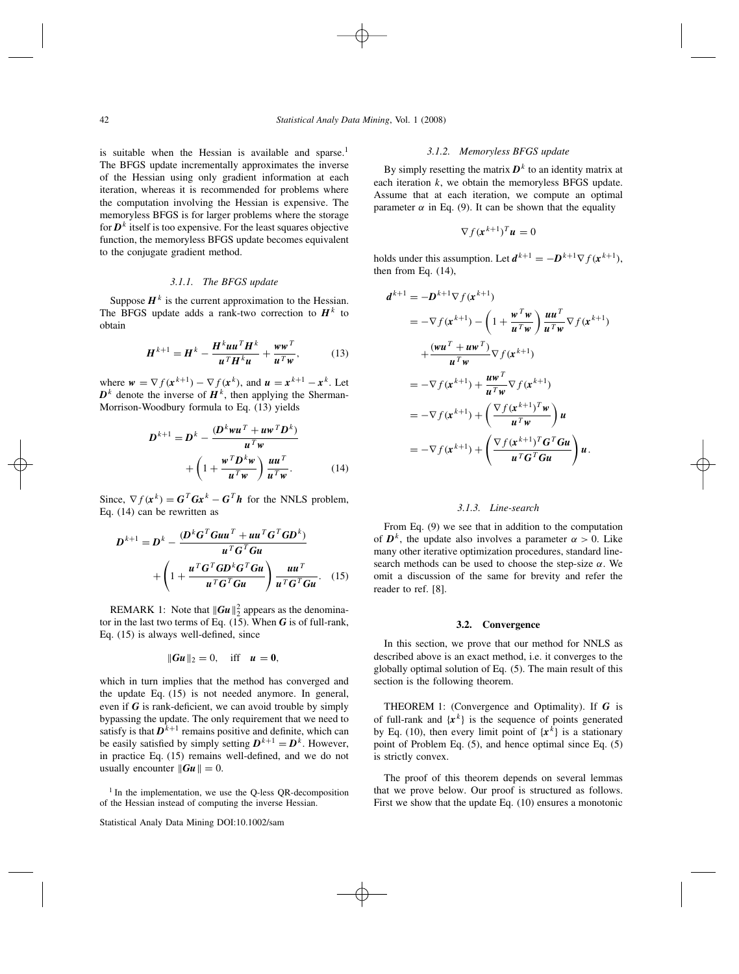is suitable when the Hessian is available and sparse.<sup>1</sup> The BFGS update incrementally approximates the inverse of the Hessian using only gradient information at each iteration, whereas it is recommended for problems where the computation involving the Hessian is expensive. The memoryless BFGS is for larger problems where the storage for  $D<sup>k</sup>$  itself is too expensive. For the least squares objective function, the memoryless BFGS update becomes equivalent to the conjugate gradient method.

### *3.1.1. The BFGS update*

Suppose  $H^k$  is the current approximation to the Hessian. The BFGS update adds a rank-two correction to  $H^k$  to obtain

$$
\boldsymbol{H}^{k+1} = \boldsymbol{H}^k - \frac{\boldsymbol{H}^k \boldsymbol{u} \boldsymbol{u}^T \boldsymbol{H}^k}{\boldsymbol{u}^T \boldsymbol{H}^k \boldsymbol{u}} + \frac{\boldsymbol{w} \boldsymbol{w}^T}{\boldsymbol{u}^T \boldsymbol{w}},
$$
(13)

where  $w = \nabla f(x^{k+1}) - \nabla f(x^k)$ , and  $u = x^{k+1} - x^k$ . Let  $\mathbf{D}^k$  denote the inverse of  $\mathbf{H}^k$ , then applying the Sherman-Morrison-Woodbury formula to Eq. (13) yields

$$
D^{k+1} = D^k - \frac{(D^k w u^T + u w^T D^k)}{u^T w} + \left(1 + \frac{w^T D^k w}{u^T w}\right) \frac{u u^T}{u^T w}.
$$
 (14)

Since,  $\nabla f(\mathbf{x}^k) = \mathbf{G}^T \mathbf{G} \mathbf{x}^k - \mathbf{G}^T \mathbf{h}$  for the NNLS problem, Eq. (14) can be rewritten as

$$
D^{k+1} = D^k - \frac{(D^k G^T G u u^T + u u^T G^T G D^k)}{u^T G^T G u} + \left(1 + \frac{u^T G^T G D^k G^T G u}{u^T G^T G u}\right) \frac{u u^T}{u^T G^T G u}.
$$
 (15)

REMARK 1: Note that  $\|\boldsymbol{G}\boldsymbol{u}\|_2^2$  appears as the denominator in the last two terms of Eq. (15). When *G* is of full-rank, Eq. (15) is always well-defined, since

$$
\|Gu\|_2 = 0, \quad \text{iff} \quad u = 0,
$$

which in turn implies that the method has converged and the update Eq. (15) is not needed anymore. In general, even if  $G$  is rank-deficient, we can avoid trouble by simply bypassing the update. The only requirement that we need to satisfy is that  $D^{k+1}$  remains positive and definite, which can be easily satisfied by simply setting  $D^{k+1} = D^k$ . However, in practice Eq. (15) remains well-defined, and we do not usually encounter  $\|\mathbf{G}\mathbf{u}\| = 0$ .

 $<sup>1</sup>$  In the implementation, we use the O-less OR-decomposition</sup> of the Hessian instead of computing the inverse Hessian.

### *3.1.2. Memoryless BFGS update*

By simply resetting the matrix  $D^k$  to an identity matrix at each iteration *k*, we obtain the memoryless BFGS update. Assume that at each iteration, we compute an optimal parameter  $\alpha$  in Eq. (9). It can be shown that the equality

$$
\nabla f(\mathbf{x}^{k+1})^T \mathbf{u} = 0
$$

holds under this assumption. Let  $d^{k+1} = -D^{k+1}\nabla f(x^{k+1})$ , then from Eq.  $(14)$ ,

$$
d^{k+1} = -D^{k+1} \nabla f(x^{k+1})
$$
  
\n
$$
= -\nabla f(x^{k+1}) - \left(1 + \frac{w^T w}{u^T w}\right) \frac{u u^T}{u^T w} \nabla f(x^{k+1})
$$
  
\n
$$
+ \frac{(w u^T + u w^T)}{u^T w} \nabla f(x^{k+1})
$$
  
\n
$$
= -\nabla f(x^{k+1}) + \frac{u w^T}{u^T w} \nabla f(x^{k+1})
$$
  
\n
$$
= -\nabla f(x^{k+1}) + \left(\frac{\nabla f(x^{k+1})^T w}{u^T w}\right) u
$$
  
\n
$$
= -\nabla f(x^{k+1}) + \left(\frac{\nabla f(x^{k+1})^T G^T G u}{u^T G^T G u}\right) u.
$$

### *3.1.3. Line-search*

From Eq. (9) we see that in addition to the computation of  $D^k$ , the update also involves a parameter  $\alpha > 0$ . Like many other iterative optimization procedures, standard linesearch methods can be used to choose the step-size *α*. We omit a discussion of the same for brevity and refer the reader to ref. [8].

#### **3.2. Convergence**

In this section, we prove that our method for NNLS as described above is an exact method, i.e. it converges to the globally optimal solution of Eq. (5). The main result of this section is the following theorem.

THEOREM 1: (Convergence and Optimality). If *G* is of full-rank and  ${x^k}$  is the sequence of points generated by Eq. (10), then every limit point of  ${x<sup>k</sup>}$  is a stationary point of Problem Eq. (5), and hence optimal since Eq. (5) is strictly convex.

The proof of this theorem depends on several lemmas that we prove below. Our proof is structured as follows. First we show that the update Eq. (10) ensures a monotonic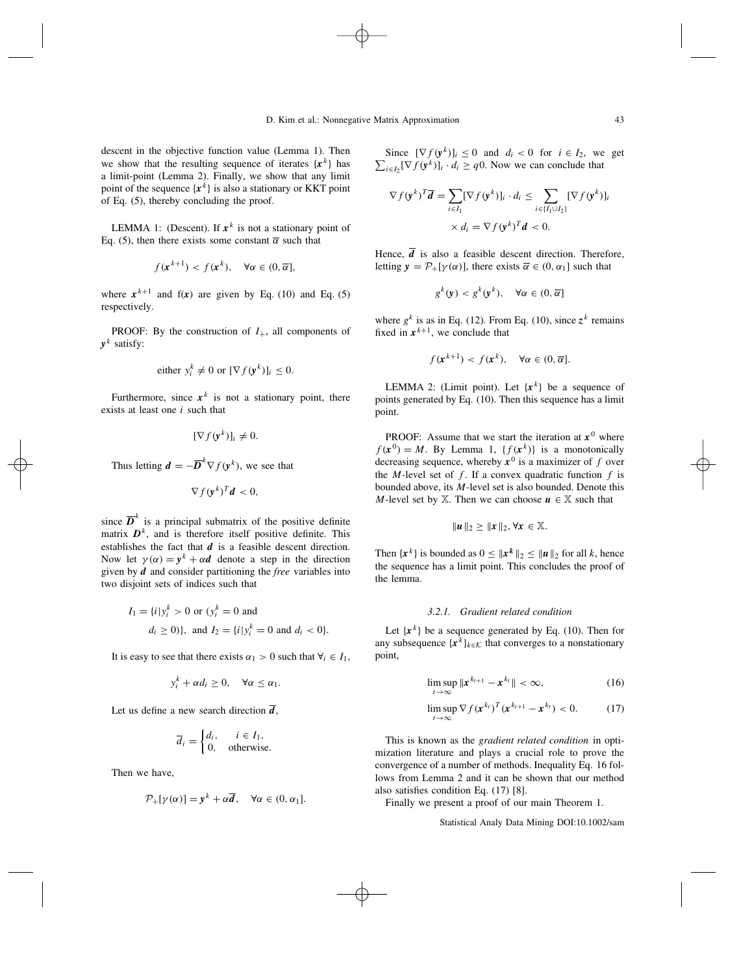descent in the objective function value (Lemma 1). Then we show that the resulting sequence of iterates  ${x^k}$  has a limit-point (Lemma 2). Finally, we show that any limit point of the sequence  ${x^k}$  is also a stationary or KKT point of Eq. (5), thereby concluding the proof.

LEMMA 1: (Descent). If  $x^k$  is not a stationary point of Eq. (5), then there exists some constant  $\bar{\alpha}$  such that

$$
f(\mathbf{x}^{k+1}) < f(\mathbf{x}^k), \quad \forall \alpha \in (0, \overline{\alpha}],
$$

where  $x^{k+1}$  and  $f(x)$  are given by Eq. (10) and Eq. (5) respectively.

PROOF: By the construction of  $I_{+}$ , all components of  $v^k$  satisfy:

either 
$$
y_i^k \neq 0
$$
 or  $[\nabla f(\mathbf{y}^k)]_i \leq 0$ .

Furthermore, since  $x^k$  is not a stationary point, there exists at least one *i* such that

$$
[\nabla f(\mathbf{y}^k)]_i \neq 0.
$$

Thus letting  $\mathbf{d} = -\overline{\mathbf{D}}^k \nabla f(\mathbf{y}^k)$ , we see that

$$
\nabla f(\mathbf{y}^k)^T \mathbf{d} < 0,
$$

since  $\overline{D}^k$  is a principal submatrix of the positive definite matrix  $D<sup>k</sup>$ , and is therefore itself positive definite. This establishes the fact that *d* is a feasible descent direction. Now let  $\gamma(\alpha) = y^k + \alpha d$  denote a step in the direction given by *d* and consider partitioning the *free* variables into two disjoint sets of indices such that

$$
I_1 = \{i \mid y_i^k > 0 \text{ or } (y_i^k = 0 \text{ and } I_2 = \{i \mid y_i^k = 0 \text{ and } d_i < 0\}.
$$
  

$$
d_i \ge 0\}, \text{ and } I_2 = \{i \mid y_i^k = 0 \text{ and } d_i < 0\}.
$$

It is easy to see that there exists  $\alpha_1 > 0$  such that  $\forall i \in I_1$ ,

$$
y_i^k + \alpha d_i \geq 0, \quad \forall \alpha \leq \alpha_1.
$$

Let us define a new search direction  $\overline{d}$ ,

$$
\overline{d}_i = \begin{cases} d_i, & i \in I_1, \\ 0, & \text{otherwise.} \end{cases}
$$

Then we have,

$$
\mathcal{P}_{+}[\gamma(\alpha)] = \mathbf{y}^{k} + \alpha \overline{\mathbf{d}}, \quad \forall \alpha \in (0, \alpha_{1}].
$$

Since  $[\nabla f(\mathbf{y}^k)]_i \leq 0$  and  $d_i < 0$  for  $i \in I_2$ , we get  $\sum_{i \in I_2} [\nabla f(\mathbf{y}^k)]_i \cdot d_i \geq q0$ . Now we can conclude that

$$
\nabla f(\mathbf{y}^k)^T \overline{\mathbf{d}} = \sum_{i \in I_1} [\nabla f(\mathbf{y}^k)]_i \cdot d_i \le \sum_{i \in \{I_1 \cup I_2\}} [\nabla f(\mathbf{y}^k)]_i
$$
  
 
$$
\times d_i = \nabla f(\mathbf{y}^k)^T \mathbf{d} < 0.
$$

Hence,  $\overline{d}$  is also a feasible descent direction. Therefore, letting  $\mathbf{v} = \mathcal{P}_+[\gamma(\alpha)]$ , there exists  $\overline{\alpha} \in (0, \alpha_1]$  such that

$$
g^k(\mathbf{y}) < g^k(\mathbf{y}^k), \quad \forall \alpha \in (0, \overline{\alpha}]
$$

where  $g^k$  is as in Eq. (12). From Eq. (10), since  $z^k$  remains fixed in  $x^{k+1}$ , we conclude that

$$
f(\mathbf{x}^{k+1}) < f(\mathbf{x}^k), \quad \forall \alpha \in (0, \overline{\alpha}].
$$

LEMMA 2: (Limit point). Let  $\{x^k\}$  be a sequence of points generated by Eq. (10). Then this sequence has a limit point.

PROOF: Assume that we start the iteration at  $x^0$  where  $f(\mathbf{x}^0) = M$ . By Lemma 1,  $\{f(\mathbf{x}^k)\}\)$  is a monotonically decreasing sequence, whereby  $x^0$  is a maximizer of  $f$  over the *M*-level set of  $f$ . If a convex quadratic function  $f$  is bounded above, its *M*-level set is also bounded. Denote this *M*-level set by  $X$ . Then we can choose  $u \in X$  such that

$$
\|u\|_2\geq\|x\|_2, \forall x\in\mathbb{X}.
$$

Then  $\{x^k\}$  is bounded as  $0 \leq ||x^k||_2 \leq ||u||_2$  for all *k*, hence the sequence has a limit point. This concludes the proof of the lemma.

### *3.2.1. Gradient related condition*

Let  $\{x^k\}$  be a sequence generated by Eq. (10). Then for any subsequence  $\{x^k\}_{k \in \mathcal{K}}$  that converges to a nonstationary point,

$$
\limsup_{t\to\infty} \|x^{k_{t+1}} - x^{k_t}\| < \infty,
$$
\n(16)

$$
\limsup_{t\to\infty}\nabla f(\mathbf{x}^{k_t})^T(\mathbf{x}^{k_{t+1}}-\mathbf{x}^{k_t})<0.
$$
 (17)

This is known as the *gradient related condition* in optimization literature and plays a crucial role to prove the convergence of a number of methods. Inequality Eq. 16 follows from Lemma 2 and it can be shown that our method also satisfies condition Eq. (17) [8].

Finally we present a proof of our main Theorem 1.

Statistical Analy Data Mining DOI:10.1002/sam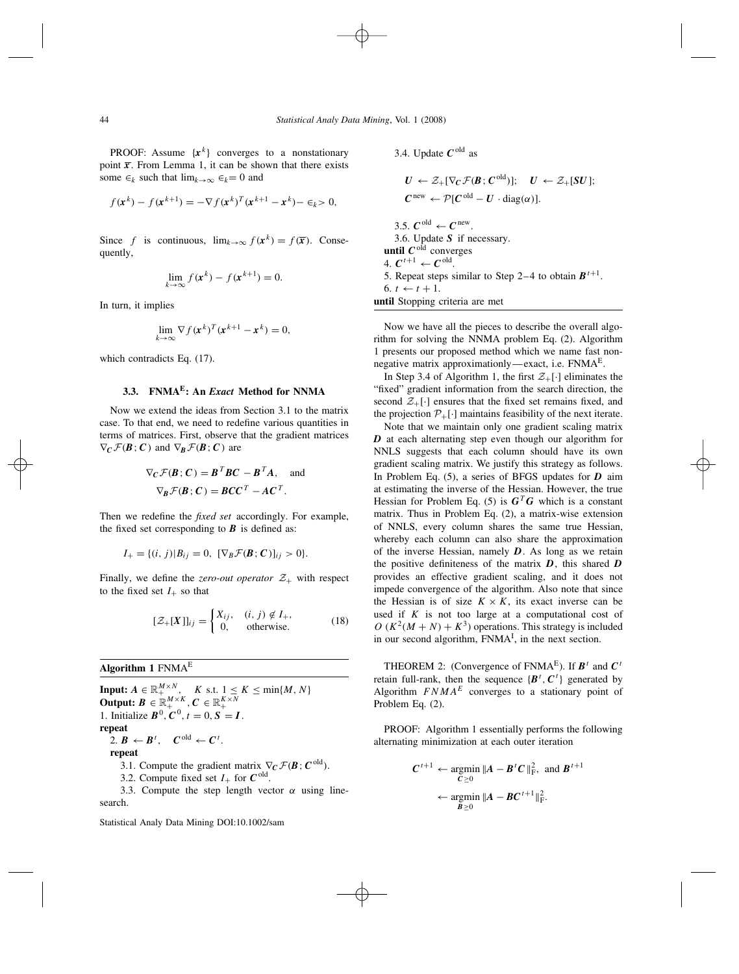**PROOF:** Assume  $\{x^k\}$  converges to a nonstationary point  $\bar{x}$ . From Lemma 1, it can be shown that there exists some  $\in_k$  such that  $\lim_{k\to\infty} \in_k = 0$  and

$$
f(\mathbf{x}^{k}) - f(\mathbf{x}^{k+1}) = -\nabla f(\mathbf{x}^{k})^{T}(\mathbf{x}^{k+1} - \mathbf{x}^{k}) - \epsilon_{k} > 0,
$$

Since *f* is continuous,  $\lim_{k \to \infty} f(x^k) = f(\overline{x})$ . Consequently,

$$
\lim_{k\to\infty} f(\mathbf{x}^k) - f(\mathbf{x}^{k+1}) = 0.
$$

In turn, it implies

$$
\lim_{k \to \infty} \nabla f(\mathbf{x}^k)^T (\mathbf{x}^{k+1} - \mathbf{x}^k) = 0,
$$

which contradicts Eq. (17).

## **3.3. FNMAE: An** *Exact* **Method for NNMA**

Now we extend the ideas from Section 3.1 to the matrix case. To that end, we need to redefine various quantities in terms of matrices. First, observe that the gradient matrices  $\nabla_C \mathcal{F}(\mathbf{B}; \mathbf{C})$  and  $\nabla_B \mathcal{F}(\mathbf{B}; \mathbf{C})$  are

$$
\nabla_C \mathcal{F}(\mathbf{B}; \mathbf{C}) = \mathbf{B}^T \mathbf{B} \mathbf{C} - \mathbf{B}^T \mathbf{A}, \text{ and}
$$

$$
\nabla_{\mathbf{B}} \mathcal{F}(\mathbf{B}; \mathbf{C}) = \mathbf{B} \mathbf{C} \mathbf{C}^T - \mathbf{A} \mathbf{C}^T.
$$

Then we redefine the *fixed set* accordingly. For example, the fixed set corresponding to  $\boldsymbol{B}$  is defined as:

$$
I_{+} = \{(i, j) | B_{ij} = 0, \ [\nabla_B \mathcal{F}(\bm{B}; \bm{C})]_{ij} > 0 \}.
$$

Finally, we define the *zero-out operator*  $Z_+$  with respect to the fixed set  $I_+$  so that

$$
[\mathcal{Z}_{+}[X]]_{ij} = \begin{cases} X_{ij}, & (i,j) \notin I_{+}, \\ 0, & \text{otherwise.} \end{cases}
$$
 (18)

**Algorithm 1** FNMAE

**Input:**  $A \in \mathbb{R}_+^{M \times N}$ ,  $K$  s.t.  $1 \le K \le \min\{M, N\}$ **Output:**  $B \in \mathbb{R}_+^{M \times K}$ ,  $C \in \mathbb{R}_+^{K \times N}$ 1. Initialize  $B^0$ ,  $C^0$ ,  $t = 0$ ,  $S = I$ . **repeat**  $2. \mathbf{B} \leftarrow \mathbf{B}^t$ ,  $\mathbf{C}^{\text{old}} \leftarrow \mathbf{C}^t$ . **repeat** 3.1. Compute the gradient matrix  $\nabla_C \mathcal{F}(\mathbf{B}; \mathbf{C}^{\text{old}})$ . 3.2. Compute fixed set  $I_+$  for  $C^{old}$ . 3.3. Compute the step length vector  $\alpha$  using linesearch.

Statistical Analy Data Mining DOI:10.1002/sam

\n- 3.4. Update 
$$
C^{\text{old}}
$$
 as
\n- $U \leftarrow \mathcal{Z}_+[\nabla_C \mathcal{F}(\mathbf{B}; C^{\text{old}})]; \quad U \leftarrow \mathcal{Z}_+[SU];$
\n- $C^{\text{new}} \leftarrow \mathcal{P}[C^{\text{old}} - U \cdot \text{diag}(\alpha)].$
\n- 3.5.  $C^{\text{old}} \leftarrow C^{\text{new}}$
\n- 3.6. Update  $S$  if necessary.
\n- until  $C^{\text{old}}$  converges
\n- 4.  $C^{t+1} \leftarrow C^{\text{old}}$
\n- 5. Repeat steps similar to Step 2–4 to obtain  $B^{t+1}$
\n- 6.  $t \leftarrow t + 1$
\n

**until** Stopping criteria are met

6. *t* ← *t* + 1.

Now we have all the pieces to describe the overall algorithm for solving the NNMA problem Eq. (2). Algorithm 1 presents our proposed method which we name fast nonnegative matrix approximationly—exact, i.e.  $FNMA<sup>E</sup>$ .

In Step 3.4 of Algorithm 1, the first  $\mathcal{Z}_{+}[\cdot]$  eliminates the "fixed" gradient information from the search direction, the second  $\mathcal{Z}_{+}[\cdot]$  ensures that the fixed set remains fixed, and the projection  $\mathcal{P}_+[\cdot]$  maintains feasibility of the next iterate.

Note that we maintain only one gradient scaling matrix *D* at each alternating step even though our algorithm for NNLS suggests that each column should have its own gradient scaling matrix. We justify this strategy as follows. In Problem Eq. (5), a series of BFGS updates for *D* aim at estimating the inverse of the Hessian. However, the true Hessian for Problem Eq. (5) is  $G<sup>T</sup>G$  which is a constant matrix. Thus in Problem Eq. (2), a matrix-wise extension of NNLS, every column shares the same true Hessian, whereby each column can also share the approximation of the inverse Hessian, namely *D*. As long as we retain the positive definiteness of the matrix *D*, this shared *D* provides an effective gradient scaling, and it does not impede convergence of the algorithm. Also note that since the Hessian is of size  $K \times K$ , its exact inverse can be used if  $K$  is not too large at a computational cost of  $O(K^2(M+N) + K^3)$  operations. This strategy is included in our second algorithm,  $FNMA<sup>I</sup>$ , in the next section.

THEOREM 2: (Convergence of FNMA<sup>E</sup>). If  $B^t$  and  $C^t$ retain full-rank, then the sequence  ${B<sup>t</sup>, C<sup>t</sup>}$  generated by Algorithm  $FNMA<sup>E</sup>$  converges to a stationary point of Problem Eq. (2).

PROOF: Algorithm 1 essentially performs the following alternating minimization at each outer iteration

$$
C^{t+1} \leftarrow \underset{C \ge 0}{\text{argmin}} \|A - B^t C\|_{\text{F}}^2, \text{ and } B^{t+1}
$$

$$
\leftarrow \underset{B \ge 0}{\text{argmin}} \|A - BC^{t+1}\|_{\text{F}}^2.
$$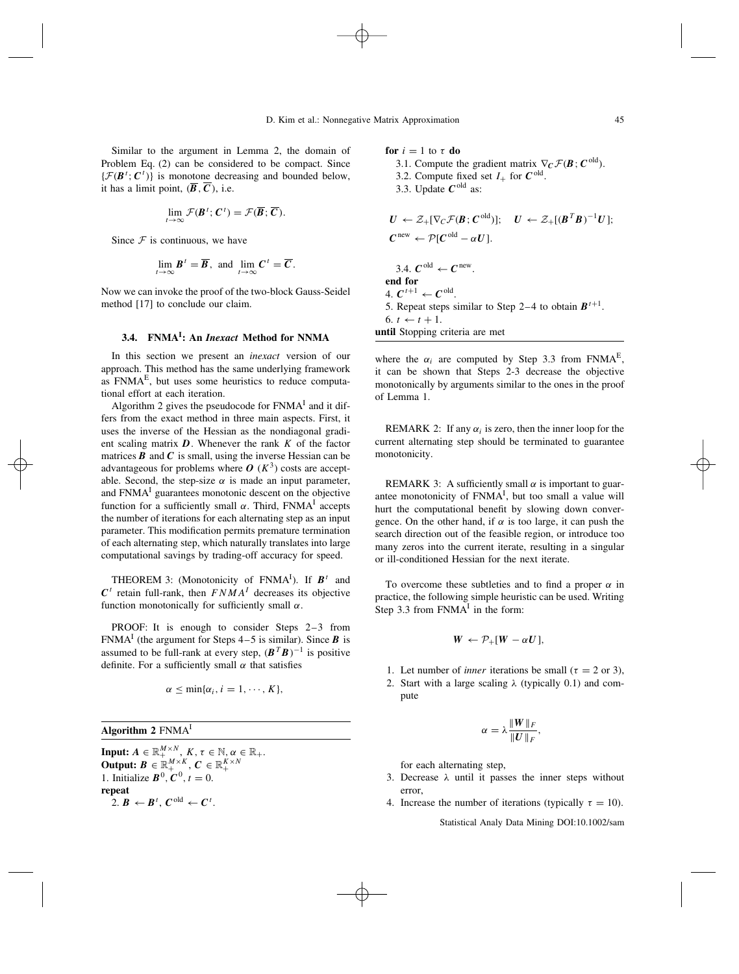6.  $t \leftarrow t + 1$ .

**until** Stopping criteria are met

Similar to the argument in Lemma 2, the domain of Problem Eq. (2) can be considered to be compact. Since  $\{\mathcal{F}(\mathbf{B}^t; \mathbf{C}^t)\}\$ is monotone decreasing and bounded below, it has a limit point,  $(\overline{B}, \overline{C})$ , i.e.

$$
\lim_{t\to\infty}\mathcal{F}(\boldsymbol{B}^t;\boldsymbol{C}^t)=\mathcal{F}(\overline{\boldsymbol{B}};\overline{\boldsymbol{C}}).
$$

Since  $F$  is continuous, we have

$$
\lim_{t\to\infty} \boldsymbol{B}^t = \overline{\boldsymbol{B}}, \text{ and } \lim_{t\to\infty} \boldsymbol{C}^t = \overline{\boldsymbol{C}}.
$$

Now we can invoke the proof of the two-block Gauss-Seidel method [17] to conclude our claim.

### **3.4. FNMAI : An** *Inexact* **Method for NNMA**

In this section we present an *inexact* version of our approach. This method has the same underlying framework as  $FNMA<sup>E</sup>$ , but uses some heuristics to reduce computational effort at each iteration.

Algorithm 2 gives the pseudocode for  $FNMA<sup>T</sup>$  and it differs from the exact method in three main aspects. First, it uses the inverse of the Hessian as the nondiagonal gradient scaling matrix *D*. Whenever the rank *K* of the factor matrices  $\bf{B}$  and  $\bf{C}$  is small, using the inverse Hessian can be advantageous for problems where  $O(K^3)$  costs are acceptable. Second, the step-size  $\alpha$  is made an input parameter, and  $FNMA<sup>1</sup>$  guarantees monotonic descent on the objective function for a sufficiently small *α*. Third, FNMAI accepts the number of iterations for each alternating step as an input parameter. This modification permits premature termination of each alternating step, which naturally translates into large computational savings by trading-off accuracy for speed.

THEOREM 3: (Monotonicity of FNMA<sup>I</sup>). If  $B^t$  and  $C<sup>t</sup>$  retain full-rank, then *FNMA<sup>I</sup>* decreases its objective function monotonically for sufficiently small *α*.

PROOF: It is enough to consider Steps 2–3 from FNMA<sup>I</sup> (the argument for Steps  $4-5$  is similar). Since **B** is assumed to be full-rank at every step,  $(B^T B)^{-1}$  is positive definite. For a sufficiently small *α* that satisfies

$$
\alpha \leq \min\{\alpha_i, i = 1, \cdots, K\},\
$$

**Algorithm 2** FNMAI

**Input:**  $A \in \mathbb{R}_+^{M \times N}$ ,  $K, \tau \in \mathbb{N}, \alpha \in \mathbb{R}_+$ . **Output:**  $\boldsymbol{B} \in \mathbb{R}_{+}^{M \times K}$ ,  $\boldsymbol{C} \in \mathbb{R}_{+}^{K \times N}$ 1. Initialize  $B^0, C^0, t = 0$ . **repeat** 2.  $B \leftarrow B^t$ ,  $C^{old} \leftarrow C^t$ .

**for**  $i = 1$  to  $\tau$  **do** 3.1. Compute the gradient matrix  $\nabla_C \mathcal{F}(\mathbf{B}; \mathbf{C}^{\text{old}})$ . 3.2. Compute fixed set  $I_+$  for  $C^{old}$ . 3.3. Update  $C^{old}$  as:  $U \leftarrow \mathcal{Z}_+[\nabla_C \mathcal{F}(\mathcal{B}; C^{\text{old}})]; \quad U \leftarrow \mathcal{Z}_+[(\mathcal{B}^T \mathcal{B})^{-1} U];$  $C^{\text{new}} \leftarrow \mathcal{P}[C^{\text{old}} - \alpha U].$ 3.4.  $C^{old} \leftarrow C^{new}$ . **end for** 4.  $C^{t+1} \leftarrow C^{old}$ . 5. Repeat steps similar to Step 2–4 to obtain  $B^{t+1}$ .

where the  $\alpha_i$  are computed by Step 3.3 from FNMA<sup>E</sup>, it can be shown that Steps 2-3 decrease the objective monotonically by arguments similar to the ones in the proof of Lemma 1.

REMARK 2: If any  $\alpha_i$  is zero, then the inner loop for the current alternating step should be terminated to guarantee monotonicity.

REMARK 3: A sufficiently small  $\alpha$  is important to guarantee monotonicity of  $FNMA<sup>I</sup>$ , but too small a value will hurt the computational benefit by slowing down convergence. On the other hand, if  $\alpha$  is too large, it can push the search direction out of the feasible region, or introduce too many zeros into the current iterate, resulting in a singular or ill-conditioned Hessian for the next iterate.

To overcome these subtleties and to find a proper *α* in practice, the following simple heuristic can be used. Writing Step 3.3 from  $FNMA<sup>I</sup>$  in the form:

$$
W \leftarrow \mathcal{P}_+ [W - \alpha U],
$$

- 1. Let number of *inner* iterations be small ( $\tau = 2$  or 3),
- 2. Start with a large scaling *λ* (typically 0.1) and compute

$$
\alpha=\lambda\frac{\|W\|_F}{\|U\|_F},
$$

for each alternating step,

- 3. Decrease *λ* until it passes the inner steps without error,
- 4. Increase the number of iterations (typically  $\tau = 10$ ).

Statistical Analy Data Mining DOI:10.1002/sam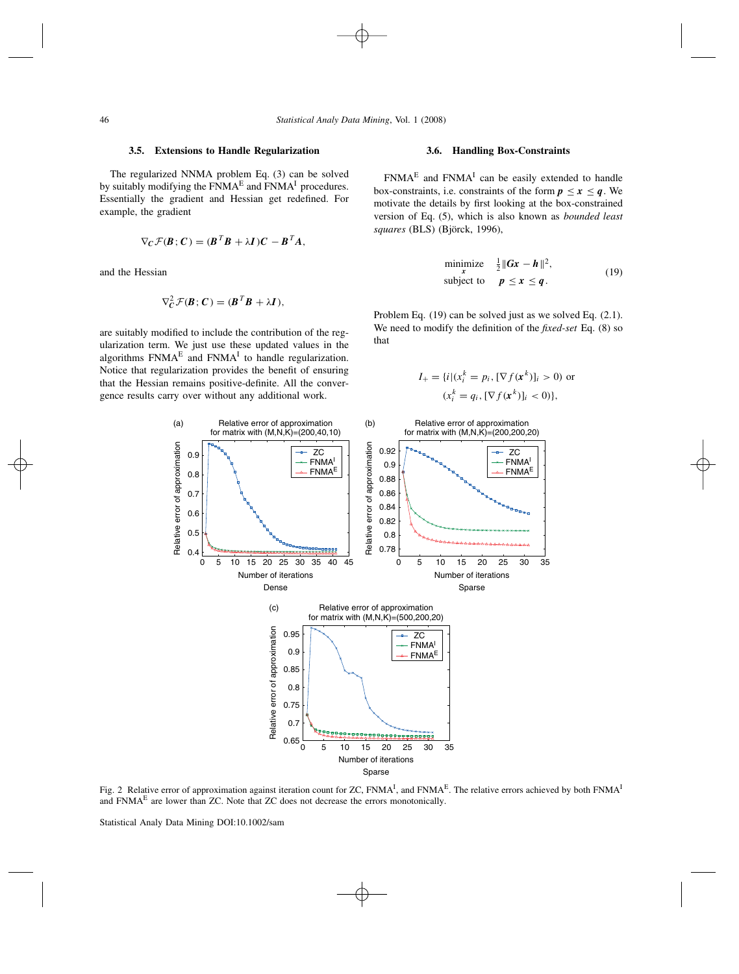### **3.5. Extensions to Handle Regularization**

The regularized NNMA problem Eq. (3) can be solved by suitably modifying the  $FNMA<sup>E</sup>$  and  $FNMA<sup>I</sup>$  procedures. Essentially the gradient and Hessian get redefined. For example, the gradient

$$
\nabla_C \mathcal{F}(\boldsymbol{B}; \boldsymbol{C}) = (\boldsymbol{B}^T \boldsymbol{B} + \lambda \boldsymbol{I}) \boldsymbol{C} - \boldsymbol{B}^T \boldsymbol{A},
$$

and the Hessian

$$
\nabla_C^2 \mathcal{F}(\boldsymbol{B}; \boldsymbol{C}) = (\boldsymbol{B}^T \boldsymbol{B} + \lambda \boldsymbol{I}),
$$

are suitably modified to include the contribution of the regularization term. We just use these updated values in the algorithms  $FNMA<sup>E</sup>$  and  $FNMA<sup>I</sup>$  to handle regularization. Notice that regularization provides the benefit of ensuring that the Hessian remains positive-definite. All the convergence results carry over without any additional work.

### **3.6. Handling Box-Constraints**

 $FNMA<sup>E</sup>$  and  $FNMA<sup>I</sup>$  can be easily extended to handle box-constraints, i.e. constraints of the form  $p \leq x \leq q$ . We motivate the details by first looking at the box-constrained version of Eq. (5), which is also known as *bounded least* squares (BLS) (Björck, 1996),

$$
\begin{array}{ll}\text{minimize} & \frac{1}{2} \|Gx - h\|^2, \\ \text{subject to} & p \le x \le q. \end{array} \tag{19}
$$

Problem Eq. (19) can be solved just as we solved Eq. (2.1). We need to modify the definition of the *fixed-set* Eq. (8) so that

$$
I_{+} = \{i | (x_i^k = p_i, [\nabla f(\mathbf{x}^k)]_i > 0) \text{ or } (x_i^k = q_i, [\nabla f(\mathbf{x}^k)]_i < 0) \},
$$



Fig. 2 Relative error of approximation against iteration count for ZC, FNMA<sup>I</sup>, and FNMA<sup>E</sup>. The relative errors achieved by both FNMA<sup>I</sup> and FNMAE are lower than ZC. Note that ZC does not decrease the errors monotonically.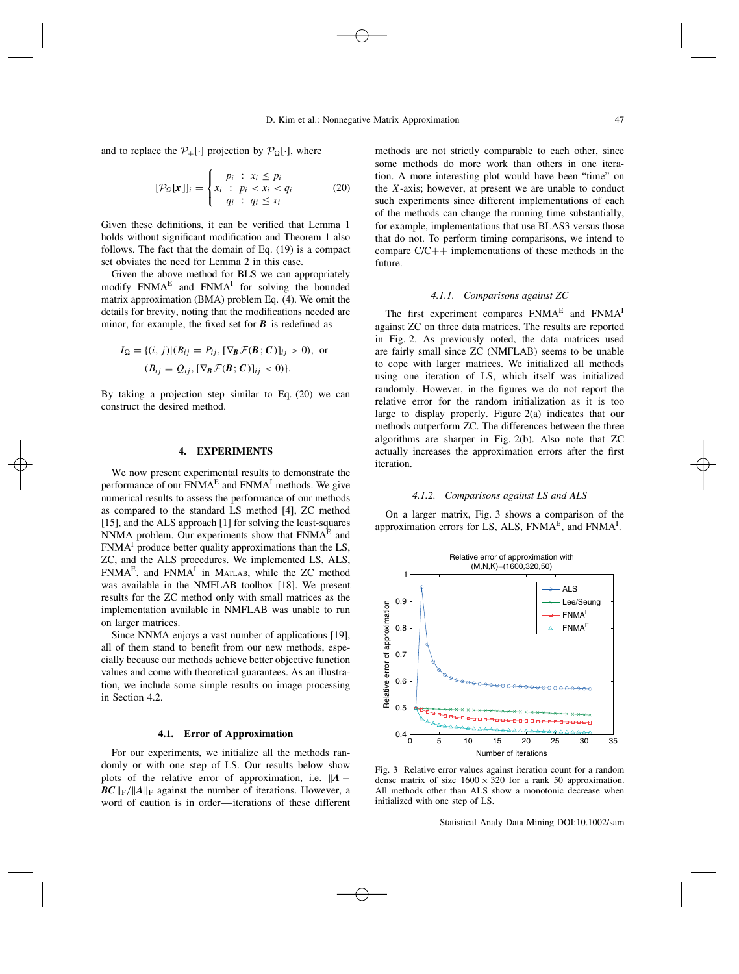and to replace the  $P_+[\cdot]$  projection by  $P_{\Omega}[\cdot]$ , where

$$
[\mathcal{P}_{\Omega}[\mathbf{x}]]_i = \begin{cases} p_i & : x_i \le p_i \\ x_i & : p_i < x_i < q_i \\ q_i & : q_i \le x_i \end{cases} \tag{20}
$$

Given these definitions, it can be verified that Lemma 1 holds without significant modification and Theorem 1 also follows. The fact that the domain of Eq. (19) is a compact set obviates the need for Lemma 2 in this case.

Given the above method for BLS we can appropriately modify FNMA<sup>E</sup> and FNMA<sup>I</sup> for solving the bounded matrix approximation (BMA) problem Eq. (4). We omit the details for brevity, noting that the modifications needed are minor, for example, the fixed set for *B* is redefined as

$$
I_{\Omega} = \{(i, j) | (B_{ij} = P_{ij}, [\nabla_{\mathbf{B}} \mathcal{F}(\mathbf{B}; \mathbf{C})]_{ij} > 0), \text{ or}
$$
  

$$
(B_{ij} = Q_{ij}, [\nabla_{\mathbf{B}} \mathcal{F}(\mathbf{B}; \mathbf{C})]_{ij} < 0)\}.
$$

By taking a projection step similar to Eq. (20) we can construct the desired method.

### **4. EXPERIMENTS**

We now present experimental results to demonstrate the performance of our  $FNMA<sup>E</sup>$  and  $FNMA<sup>I</sup>$  methods. We give numerical results to assess the performance of our methods as compared to the standard LS method [4], ZC method [15], and the ALS approach [1] for solving the least-squares NNMA problem. Our experiments show that  $FNMA<sup>E</sup>$  and  $FNMA<sup>I</sup>$  produce better quality approximations than the LS, ZC, and the ALS procedures. We implemented LS, ALS,  $FNMA<sup>E</sup>$ , and  $FNMA<sup>I</sup>$  in MATLAB, while the ZC method was available in the NMFLAB toolbox [18]. We present results for the ZC method only with small matrices as the implementation available in NMFLAB was unable to run on larger matrices.

Since NNMA enjoys a vast number of applications [19], all of them stand to benefit from our new methods, especially because our methods achieve better objective function values and come with theoretical guarantees. As an illustration, we include some simple results on image processing in Section 4.2.

### **4.1. Error of Approximation**

For our experiments, we initialize all the methods randomly or with one step of LS. Our results below show plots of the relative error of approximation, i.e.  $||A \textit{BC}$   $\|$ <sub>F</sub>/ $\|$ *A* $\|$ <sub>F</sub> against the number of iterations. However, a word of caution is in order—iterations of these different methods are not strictly comparable to each other, since some methods do more work than others in one iteration. A more interesting plot would have been "time" on the *X*-axis; however, at present we are unable to conduct such experiments since different implementations of each of the methods can change the running time substantially, for example, implementations that use BLAS3 versus those that do not. To perform timing comparisons, we intend to compare  $C/C++$  implementations of these methods in the future.

### *4.1.1. Comparisons against ZC*

The first experiment compares FNMA<sup>E</sup> and FNMA<sup>I</sup> against ZC on three data matrices. The results are reported in Fig. 2. As previously noted, the data matrices used are fairly small since ZC (NMFLAB) seems to be unable to cope with larger matrices. We initialized all methods using one iteration of LS, which itself was initialized randomly. However, in the figures we do not report the relative error for the random initialization as it is too large to display properly. Figure 2(a) indicates that our methods outperform ZC. The differences between the three algorithms are sharper in Fig. 2(b). Also note that ZC actually increases the approximation errors after the first iteration.

### *4.1.2. Comparisons against LS and ALS*

On a larger matrix, Fig. 3 shows a comparison of the approximation errors for LS, ALS,  $FNMA<sup>E</sup>$ , and  $FNMA<sup>I</sup>$ .



Fig. 3 Relative error values against iteration count for a random dense matrix of size  $1600 \times 320$  for a rank 50 approximation. All methods other than ALS show a monotonic decrease when initialized with one step of LS.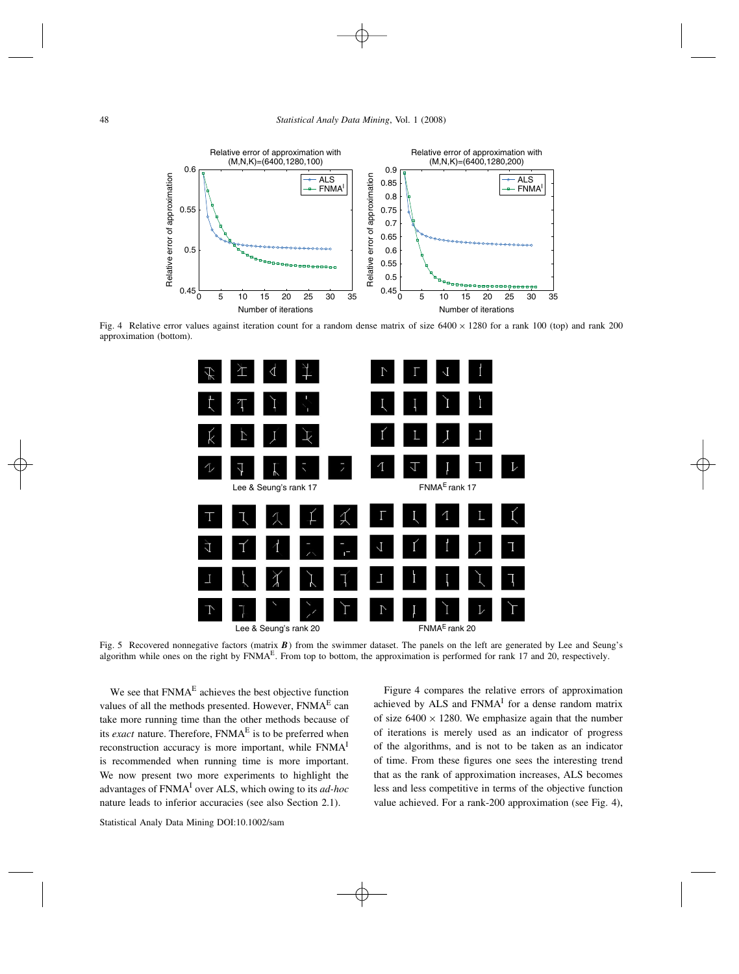

Fig. 4 Relative error values against iteration count for a random dense matrix of size  $6400 \times 1280$  for a rank 100 (top) and rank 200 approximation (bottom).



Fig. 5 Recovered nonnegative factors (matrix **B**) from the swimmer dataset. The panels on the left are generated by Lee and Seung's algorithm while ones on the right by  $FNMA<sup>E</sup>$ . From top to bottom, the approximation is performed for rank 17 and 20, respectively.

We see that FNMA<sup>E</sup> achieves the best objective function values of all the methods presented. However,  $FNMA<sup>E</sup>$  can take more running time than the other methods because of its *exact* nature. Therefore, FNMA<sup>E</sup> is to be preferred when reconstruction accuracy is more important, while FNMAI is recommended when running time is more important. We now present two more experiments to highlight the advantages of FNMAI over ALS, which owing to its *ad-hoc* nature leads to inferior accuracies (see also Section 2.1).

Figure 4 compares the relative errors of approximation achieved by ALS and FNMA<sup>I</sup> for a dense random matrix of size  $6400 \times 1280$ . We emphasize again that the number of iterations is merely used as an indicator of progress of the algorithms, and is not to be taken as an indicator of time. From these figures one sees the interesting trend that as the rank of approximation increases, ALS becomes less and less competitive in terms of the objective function value achieved. For a rank-200 approximation (see Fig. 4),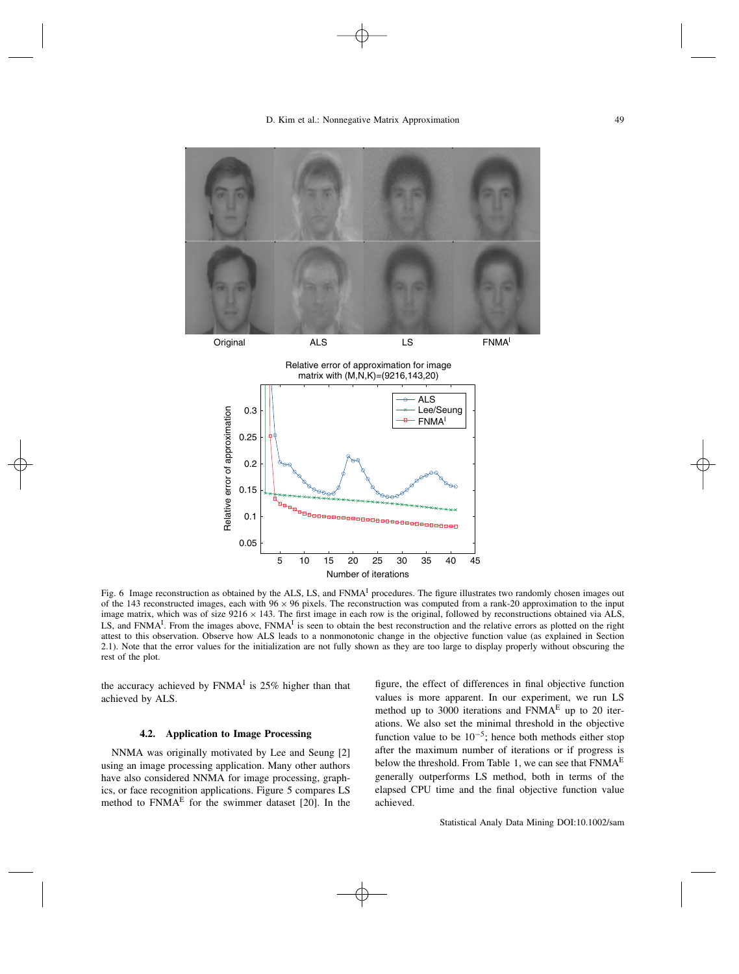



Relative error of approximation for image matrix with (M,N,K)=(9216,143,20)



Fig. 6 Image reconstruction as obtained by the ALS, LS, and  $FNMA<sup>I</sup>$  procedures. The figure illustrates two randomly chosen images out of the 143 reconstructed images, each with  $96 \times 96$  pixels. The reconstruction was computed from a rank-20 approximation to the input image matrix, which was of size  $9216 \times 143$ . The first image in each row is the original, followed by reconstructions obtained via ALS, LS, and FNMA<sup>I</sup>. From the images above, FNMA<sup>I</sup> is seen to obtain the best reconstruction and the relative errors as plotted on the right attest to this observation. Observe how ALS leads to a nonmonotonic change in the objective function value (as explained in Section 2.1). Note that the error values for the initialization are not fully shown as they are too large to display properly without obscuring the rest of the plot.

the accuracy achieved by  $FNMA<sup>T</sup>$  is 25% higher than that achieved by ALS.

### **4.2. Application to Image Processing**

NNMA was originally motivated by Lee and Seung [2] using an image processing application. Many other authors have also considered NNMA for image processing, graphics, or face recognition applications. Figure 5 compares LS method to  $FNMA<sup>E</sup>$  for the swimmer dataset [20]. In the figure, the effect of differences in final objective function values is more apparent. In our experiment, we run LS method up to 3000 iterations and  $FNMA<sup>E</sup>$  up to 20 iterations. We also set the minimal threshold in the objective function value to be  $10^{-5}$ ; hence both methods either stop after the maximum number of iterations or if progress is below the threshold. From Table 1, we can see that  $FNMA<sup>E</sup>$ generally outperforms LS method, both in terms of the elapsed CPU time and the final objective function value achieved.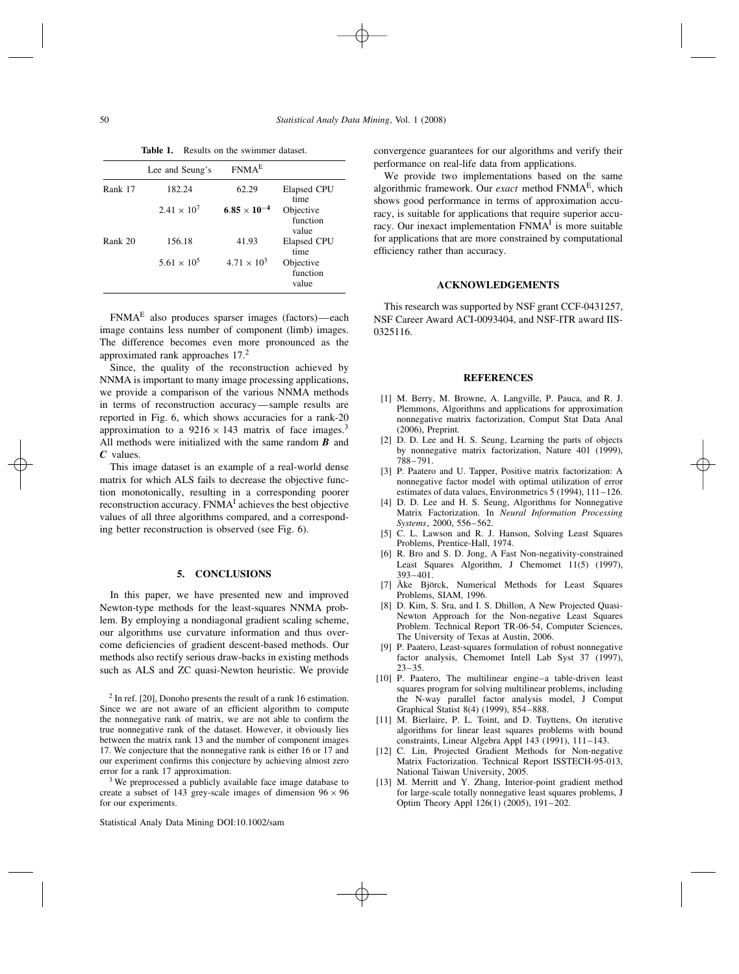|         | Lee and Seung's      | FNMA <sup>E</sup>     |                                |
|---------|----------------------|-----------------------|--------------------------------|
| Rank 17 | 182.24               | 62.29                 | Elapsed CPU<br>time            |
|         | $2.41 \times 10^{7}$ | $6.85 \times 10^{-4}$ | Objective<br>function<br>value |
| Rank 20 | 156.18               | 41.93                 | <b>Elapsed CPU</b><br>time     |
|         | $5.61 \times 10^{5}$ | $4.71 \times 10^{3}$  | Objective<br>function<br>value |

**Table 1.** Results on the swimmer dataset.

FNMAE also produces sparser images (factors)—each image contains less number of component (limb) images. The difference becomes even more pronounced as the approximated rank approaches 17.<sup>2</sup>

Since, the quality of the reconstruction achieved by NNMA is important to many image processing applications, we provide a comparison of the various NNMA methods in terms of reconstruction accuracy—sample results are reported in Fig. 6, which shows accuracies for a rank-20 approximation to a  $9216 \times 143$  matrix of face images.<sup>3</sup> All methods were initialized with the same random *B* and *C* values.

This image dataset is an example of a real-world dense matrix for which ALS fails to decrease the objective function monotonically, resulting in a corresponding poorer reconstruction accuracy. FNMA<sup>I</sup> achieves the best objective values of all three algorithms compared, and a corresponding better reconstruction is observed (see Fig. 6).

### **5. CONCLUSIONS**

In this paper, we have presented new and improved Newton-type methods for the least-squares NNMA problem. By employing a nondiagonal gradient scaling scheme, our algorithms use curvature information and thus overcome deficiencies of gradient descent-based methods. Our methods also rectify serious draw-backs in existing methods such as ALS and ZC quasi-Newton heuristic. We provide

<sup>3</sup> We preprocessed a publicly available face image database to create a subset of 143 grey-scale images of dimension  $96 \times 96$ for our experiments.

convergence guarantees for our algorithms and verify their performance on real-life data from applications.

We provide two implementations based on the same algorithmic framework. Our *exact* method FNMAE, which shows good performance in terms of approximation accuracy, is suitable for applications that require superior accuracy. Our inexact implementation  $FNMA<sup>1</sup>$  is more suitable for applications that are more constrained by computational efficiency rather than accuracy.

### **ACKNOWLEDGEMENTS**

This research was supported by NSF grant CCF-0431257, NSF Career Award ACI-0093404, and NSF-ITR award IIS-0325116.

### **REFERENCES**

- [1] M. Berry, M. Browne, A. Langville, P. Pauca, and R. J. Plemmons, Algorithms and applications for approximation nonnegative matrix factorization, Comput Stat Data Anal (2006), Preprint.
- [2] D. D. Lee and H. S. Seung, Learning the parts of objects by nonnegative matrix factorization, Nature 401 (1999), 788–791.
- [3] P. Paatero and U. Tapper, Positive matrix factorization: A nonnegative factor model with optimal utilization of error estimates of data values, Environmetrics 5 (1994), 111–126.
- [4] D. D. Lee and H. S. Seung, Algorithms for Nonnegative Matrix Factorization. In *Neural Information Processing Systems*, 2000, 556–562.
- [5] C. L. Lawson and R. J. Hanson, Solving Least Squares Problems, Prentice-Hall, 1974.
- [6] R. Bro and S. D. Jong, A Fast Non-negativity-constrained Least Squares Algorithm, J Chemomet 11(5) (1997), 393–401.
- [7] Åke Björck, Numerical Methods for Least Squares Problems, SIAM, 1996.
- [8] D. Kim, S. Sra, and I. S. Dhillon, A New Projected Quasi-Newton Approach for the Non-negative Least Squares Problem. Technical Report TR-06-54, Computer Sciences, The University of Texas at Austin, 2006.
- [9] P. Paatero, Least-squares formulation of robust nonnegative factor analysis, Chemomet Intell Lab Syst 37 (1997),  $23 - 35.$
- [10] P. Paatero, The multilinear engine–a table-driven least squares program for solving multilinear problems, including the N-way parallel factor analysis model, J Comput Graphical Statist 8(4) (1999), 854–888.
- [11] M. Bierlaire, P. L. Toint, and D. Tuyttens, On iterative algorithms for linear least squares problems with bound constraints, Linear Algebra Appl 143 (1991), 111–143.
- [12] C. Lin, Projected Gradient Methods for Non-negative Matrix Factorization. Technical Report ISSTECH-95-013, National Taiwan University, 2005.
- [13] M. Merritt and Y. Zhang, Interior-point gradient method for large-scale totally nonnegative least squares problems, J Optim Theory Appl 126(1) (2005), 191–202.

 $2$  In ref. [20], Donoho presents the result of a rank 16 estimation. Since we are not aware of an efficient algorithm to compute the nonnegative rank of matrix, we are not able to confirm the true nonnegative rank of the dataset. However, it obviously lies between the matrix rank 13 and the number of component images 17. We conjecture that the nonnegative rank is either 16 or 17 and our experiment confirms this conjecture by achieving almost zero error for a rank 17 approximation.